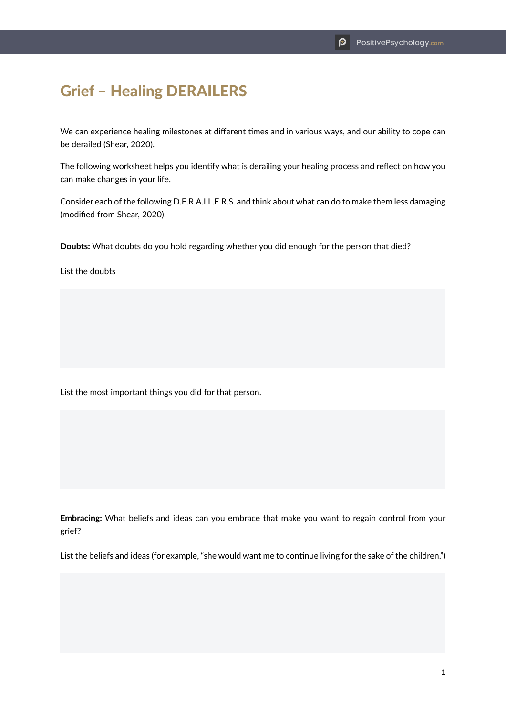## Grief – Healing DERAILERS

We can experience healing milestones at different times and in various ways, and our ability to cope can be derailed (Shear, 2020).

The following worksheet helps you identify what is derailing your healing process and reflect on how you can make changes in your life.

Consider each of the following D.E.R.A.I.L.E.R.S. and think about what can do to make them less damaging (modified from Shear, 2020):

**Doubts:** What doubts do you hold regarding whether you did enough for the person that died?

List the doubts

List the most important things you did for that person.

**Embracing:** What beliefs and ideas can you embrace that make you want to regain control from your grief?

List the beliefs and ideas (for example, "she would want me to continue living for the sake of the children.")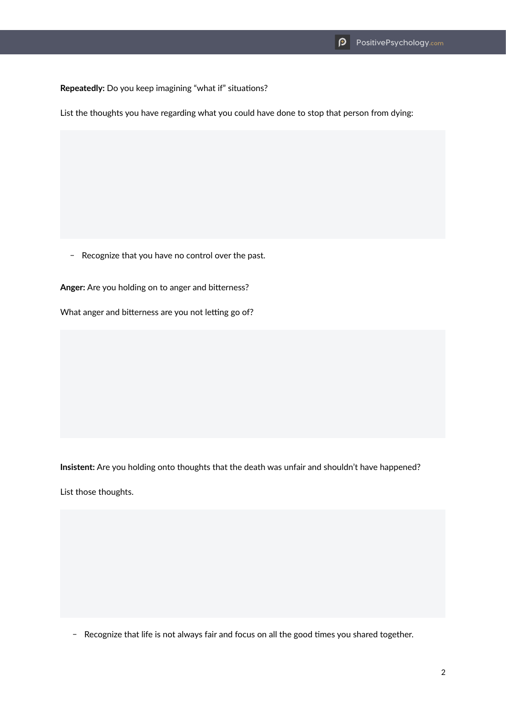**Repeatedly:** Do you keep imagining "what if" situations?

List the thoughts you have regarding what you could have done to stop that person from dying:

- Recognize that you have no control over the past.

**Anger:** Are you holding on to anger and bitterness?

What anger and bitterness are you not letting go of?

**Insistent:** Are you holding onto thoughts that the death was unfair and shouldn't have happened?

List those thoughts.

- Recognize that life is not always fair and focus on all the good times you shared together.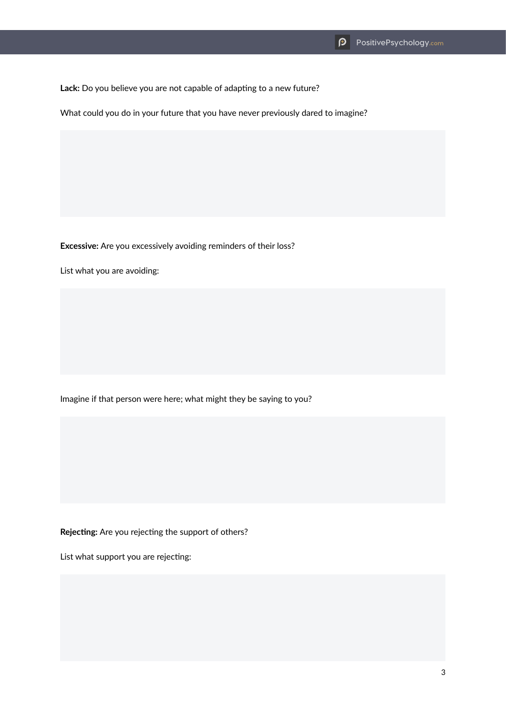Lack: Do you believe you are not capable of adapting to a new future?

What could you do in your future that you have never previously dared to imagine?

**Excessive:** Are you excessively avoiding reminders of their loss?

List what you are avoiding:

Imagine if that person were here; what might they be saying to you?

**Rejecting:** Are you rejecting the support of others?

List what support you are rejecting: